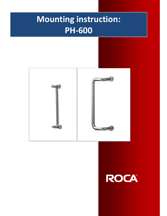## Mounting instruction: PH-600



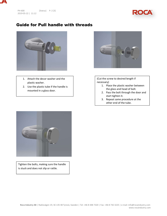



## Guide for Pull handle with threads



- 1. Attach the decor washer and the plastic washer.
- 2. Use the plastic tube if the handle is mounted in a glass door.



(Cut the screw to desired length if necessary)

- 1. Place the plastic washer between the glass and head of bolt.
- 2. Pass the bolt through the door and start tighten it.
- 3. Repeat same procedure at the other end of the tube.



Tighten the bolts, making sure the handle is stuck and does not slip or rattle.